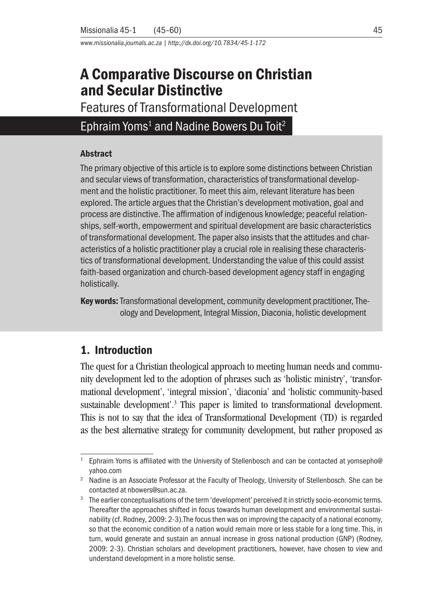*www.missionalia.journals.ac.za | http://dx.doi.org/10.7834/45-1-172*

# A Comparative Discourse on Christian and Secular Distinctive

Features of Transformational Development

# Ephraim Yoms<sup>1</sup> and Nadine Bowers Du Toit<sup>2</sup>

#### Abstract

The primary objective of this article is to explore some distinctions between Christian and secular views of transformation, characteristics of transformational development and the holistic practitioner. To meet this aim, relevant literature has been explored. The article argues that the Christian's development motivation, goal and process are distinctive. The affirmation of indigenous knowledge; peaceful relationships, self-worth, empowerment and spiritual development are basic characteristics of transformational development. The paper also insists that the attitudes and characteristics of a holistic practitioner play a crucial role in realising these characteristics of transformational development. Understanding the value of this could assist faith-based organization and church-based development agency staff in engaging holistically.

Key words: Transformational development, community development practitioner, Theology and Development, Integral Mission, Diaconia, holistic development

## 1. Introduction

The quest for a Christian theological approach to meeting human needs and community development led to the adoption of phrases such as 'holistic ministry', 'transformational development', 'integral mission', 'diaconia' and 'holistic community-based sustainable development'.<sup>3</sup> This paper is limited to transformational development. This is not to say that the idea of Transformational Development (TD) is regarded as the best alternative strategy for community development, but rather proposed as

<sup>&</sup>lt;sup>1</sup> Ephraim Yoms is affiliated with the University of Stellenbosch and can be contacted at yomsepho@ yahoo.com

<sup>&</sup>lt;sup>2</sup> Nadine is an Associate Professor at the Faculty of Theology, University of Stellenbosch. She can be contacted at nbowers@sun.ac.za.

The earlier conceptualisations of the term 'development' perceived it in strictly socio-economic terms. Thereafter the approaches shifted in focus towards human development and environmental sustainability (cf. Rodney, 2009: 2-3).The focus then was on improving the capacity of a national economy, so that the economic condition of a nation would remain more or less stable for a long time. This, in turn, would generate and sustain an annual increase in gross national production (GNP) (Rodney, 2009: 2-3). Christian scholars and development practitioners, however, have chosen to view and understand development in a more holistic sense.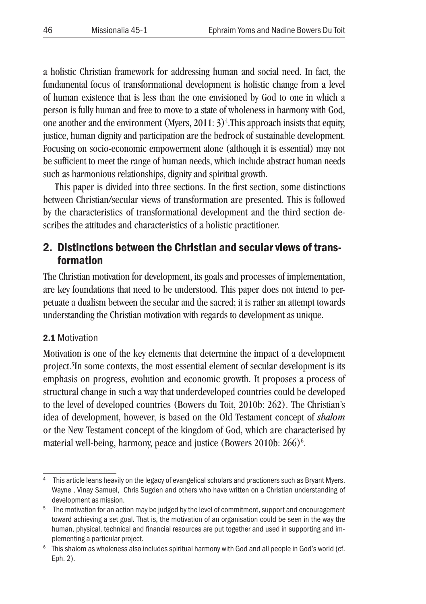a holistic Christian framework for addressing human and social need. In fact, the fundamental focus of transformational development is holistic change from a level of human existence that is less than the one envisioned by God to one in which a person is fully human and free to move to a state of wholeness in harmony with God, one another and the environment (Myers,  $2011:3$ )<sup>4</sup>. This approach insists that equity, justice, human dignity and participation are the bedrock of sustainable development. Focusing on socio-economic empowerment alone (although it is essential) may not be sufficient to meet the range of human needs, which include abstract human needs such as harmonious relationships, dignity and spiritual growth.

This paper is divided into three sections. In the first section, some distinctions between Christian/secular views of transformation are presented. This is followed by the characteristics of transformational development and the third section describes the attitudes and characteristics of a holistic practitioner.

# 2. Distinctions between the Christian and secular views of transformation

The Christian motivation for development, its goals and processes of implementation, are key foundations that need to be understood. This paper does not intend to perpetuate a dualism between the secular and the sacred; it is rather an attempt towards understanding the Christian motivation with regards to development as unique.

### 2.1 Motivation

Motivation is one of the key elements that determine the impact of a development project.<sup>5</sup>In some contexts, the most essential element of secular development is its emphasis on progress, evolution and economic growth. It proposes a process of structural change in such a way that underdeveloped countries could be developed to the level of developed countries (Bowers du Toit, 2010b: 262). The Christian's idea of development, however, is based on the Old Testament concept of *shalom* or the New Testament concept of the kingdom of God, which are characterised by material well-being, harmony, peace and justice (Bowers 2010b: 266)<sup>6</sup>.

This article leans heavily on the legacy of evangelical scholars and practioners such as Bryant Myers, Wayne , Vinay Samuel, Chris Sugden and others who have written on a Christian understanding of

development as mission.<br><sup>5</sup> The motivation for an action may be judged by the level of commitment, support and encouragement toward achieving a set goal. That is, the motivation of an organisation could be seen in the way the human, physical, technical and financial resources are put together and used in supporting and implementing a particular project.

<sup>&</sup>lt;sup>6</sup> This shalom as wholeness also includes spiritual harmony with God and all people in God's world (cf. Eph. 2).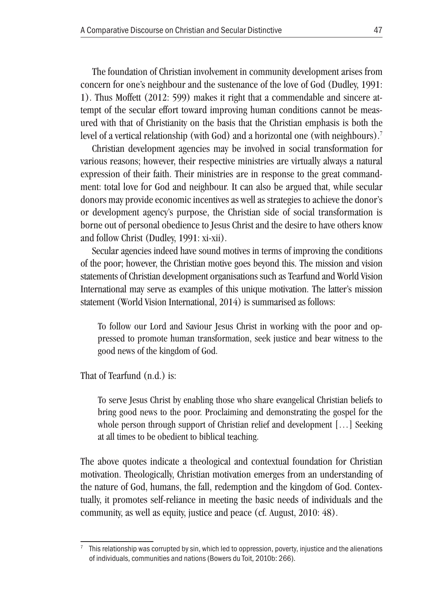The foundation of Christian involvement in community development arises from concern for one's neighbour and the sustenance of the love of God (Dudley, 1991: 1). Thus Moffett (2012: 599) makes it right that a commendable and sincere attempt of the secular effort toward improving human conditions cannot be measured with that of Christianity on the basis that the Christian emphasis is both the level of a vertical relationship (with God) and a horizontal one (with neighbours).<sup>7</sup>

Christian development agencies may be involved in social transformation for various reasons; however, their respective ministries are virtually always a natural expression of their faith. Their ministries are in response to the great commandment: total love for God and neighbour. It can also be argued that, while secular donors may provide economic incentives as well as strategies to achieve the donor's or development agency's purpose, the Christian side of social transformation is borne out of personal obedience to Jesus Christ and the desire to have others know and follow Christ (Dudley, 1991: xi-xii).

Secular agencies indeed have sound motives in terms of improving the conditions of the poor; however, the Christian motive goes beyond this. The mission and vision statements of Christian development organisations such as Tearfund and World Vision International may serve as examples of this unique motivation. The latter's mission statement (World Vision International, 2014) is summarised as follows:

To follow our Lord and Saviour Jesus Christ in working with the poor and oppressed to promote human transformation, seek justice and bear witness to the good news of the kingdom of God.

That of Tearfund (n.d.) is:

To serve Jesus Christ by enabling those who share evangelical Christian beliefs to bring good news to the poor. Proclaiming and demonstrating the gospel for the whole person through support of Christian relief and development [...] Seeking at all times to be obedient to biblical teaching.

The above quotes indicate a theological and contextual foundation for Christian motivation. Theologically, Christian motivation emerges from an understanding of the nature of God, humans, the fall, redemption and the kingdom of God. Contextually, it promotes self-reliance in meeting the basic needs of individuals and the community, as well as equity, justice and peace (cf. August, 2010: 48).

This relationship was corrupted by sin, which led to oppression, poverty, injustice and the alienations of individuals, communities and nations (Bowers du Toit, 2010b: 266).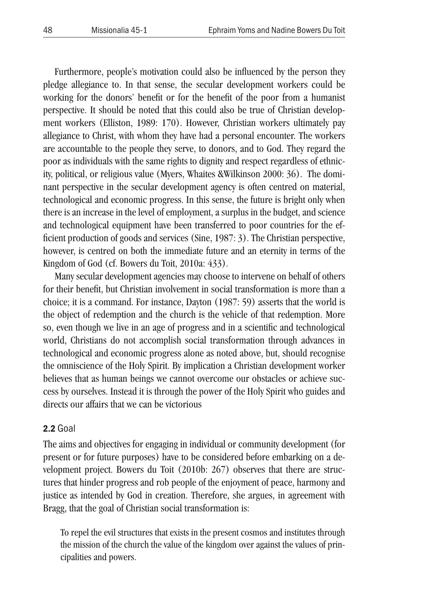Furthermore, people's motivation could also be influenced by the person they pledge allegiance to. In that sense, the secular development workers could be working for the donors' benefit or for the benefit of the poor from a humanist perspective. It should be noted that this could also be true of Christian development workers (Elliston, 1989: 170). However, Christian workers ultimately pay allegiance to Christ, with whom they have had a personal encounter. The workers are accountable to the people they serve, to donors, and to God. They regard the poor as individuals with the same rights to dignity and respect regardless of ethnicity, political, or religious value (Myers, Whaites &Wilkinson 2000: 36). The dominant perspective in the secular development agency is often centred on material, technological and economic progress. In this sense, the future is bright only when there is an increase in the level of employment, a surplus in the budget, and science and technological equipment have been transferred to poor countries for the efficient production of goods and services (Sine, 1987: 3). The Christian perspective, however, is centred on both the immediate future and an eternity in terms of the Kingdom of God (cf. Bowers du Toit, 2010a: 433).

Many secular development agencies may choose to intervene on behalf of others for their benefit, but Christian involvement in social transformation is more than a choice; it is a command. For instance, Dayton (1987: 59) asserts that the world is the object of redemption and the church is the vehicle of that redemption. More so, even though we live in an age of progress and in a scientific and technological world, Christians do not accomplish social transformation through advances in technological and economic progress alone as noted above, but, should recognise the omniscience of the Holy Spirit. By implication a Christian development worker believes that as human beings we cannot overcome our obstacles or achieve success by ourselves. Instead it is through the power of the Holy Spirit who guides and directs our affairs that we can be victorious

#### 2.2 Goal

The aims and objectives for engaging in individual or community development (for present or for future purposes) have to be considered before embarking on a development project. Bowers du Toit (2010b: 267) observes that there are structures that hinder progress and rob people of the enjoyment of peace, harmony and justice as intended by God in creation. Therefore, she argues, in agreement with Bragg, that the goal of Christian social transformation is:

To repel the evil structures that exists in the present cosmos and institutes through the mission of the church the value of the kingdom over against the values of principalities and powers.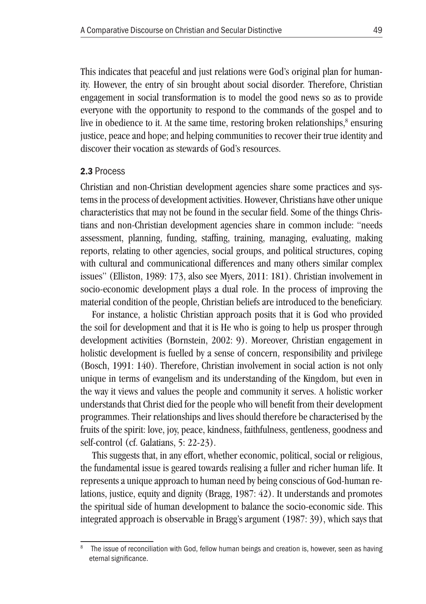This indicates that peaceful and just relations were God's original plan for humanity. However, the entry of sin brought about social disorder. Therefore, Christian engagement in social transformation is to model the good news so as to provide everyone with the opportunity to respond to the commands of the gospel and to live in obedience to it. At the same time, restoring broken relationships,<sup>8</sup> ensuring justice, peace and hope; and helping communities to recover their true identity and discover their vocation as stewards of God's resources.

#### 2.3 Process

Christian and non-Christian development agencies share some practices and systems in the process of development activities. However, Christians have other unique characteristics that may not be found in the secular field. Some of the things Christians and non-Christian development agencies share in common include: "needs assessment, planning, funding, staffing, training, managing, evaluating, making reports, relating to other agencies, social groups, and political structures, coping with cultural and communicational differences and many others similar complex issues" (Elliston, 1989: 173, also see Myers, 2011: 181). Christian involvement in socio-economic development plays a dual role. In the process of improving the material condition of the people, Christian beliefs are introduced to the beneficiary.

For instance, a holistic Christian approach posits that it is God who provided the soil for development and that it is He who is going to help us prosper through development activities (Bornstein, 2002: 9). Moreover, Christian engagement in holistic development is fuelled by a sense of concern, responsibility and privilege (Bosch, 1991: 140). Therefore, Christian involvement in social action is not only unique in terms of evangelism and its understanding of the Kingdom, but even in the way it views and values the people and community it serves. A holistic worker understands that Christ died for the people who will benefit from their development programmes. Their relationships and lives should therefore be characterised by the fruits of the spirit: love, joy, peace, kindness, faithfulness, gentleness, goodness and self-control (cf. Galatians, 5: 22-23).

This suggests that, in any effort, whether economic, political, social or religious, the fundamental issue is geared towards realising a fuller and richer human life. It represents a unique approach to human need by being conscious of God-human relations, justice, equity and dignity (Bragg, 1987: 42). It understands and promotes the spiritual side of human development to balance the socio-economic side. This integrated approach is observable in Bragg's argument (1987: 39), which says that

The issue of reconciliation with God, fellow human beings and creation is, however, seen as having eternal significance.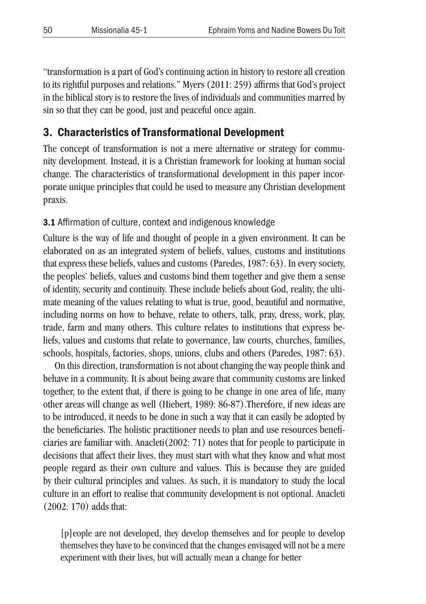"transformation is a part of God's continuing action in history to restore all creation to its rightful purposes and relations." Myers (2011: 259) affirms that God's project in the biblical story is to restore the lives of individuals and communities marred by sin so that they can be good, just and peaceful once again.

# 3. Characteristics of Transformational Development

The concept of transformation is not a mere alternative or strategy for community development. Instead, it is a Christian framework for looking at human social change. The characteristics of transformational development in this paper incorporate unique principles that could be used to measure any Christian development praxis.

### 3.1 Affirmation of culture, context and indigenous knowledge

Culture is the way of life and thought of people in a given environment. It can be elaborated on as an integrated system of beliefs, values, customs and institutions that express these beliefs, values and customs (Paredes, 1987: 63). In every society, the peoples' beliefs, values and customs bind them together and give them a sense of identity, security and continuity. These include beliefs about God, reality, the ultimate meaning of the values relating to what is true, good, beautiful and normative, including norms on how to behave, relate to others, talk, pray, dress, work, play, trade, farm and many others. This culture relates to institutions that express beliefs, values and customs that relate to governance, law courts, churches, families, schools, hospitals, factories, shops, unions, clubs and others (Paredes, 1987: 63).

On this direction, transformation is not about changing the way people think and behave in a community. It is about being aware that community customs are linked together, to the extent that, if there is going to be change in one area of life, many other areas will change as well (Hiebert, 1989: 86-87).Therefore, if new ideas are to be introduced, it needs to be done in such a way that it can easily be adopted by the beneficiaries. The holistic practitioner needs to plan and use resources beneficiaries are familiar with. Anacleti(2002: 71) notes that for people to participate in decisions that affect their lives, they must start with what they know and what most people regard as their own culture and values. This is because they are guided by their cultural principles and values. As such, it is mandatory to study the local culture in an effort to realise that community development is not optional. Anacleti (2002: 170) adds that:

[p]eople are not developed, they develop themselves and for people to develop themselves they have to be convinced that the changes envisaged will not be a mere experiment with their lives, but will actually mean a change for better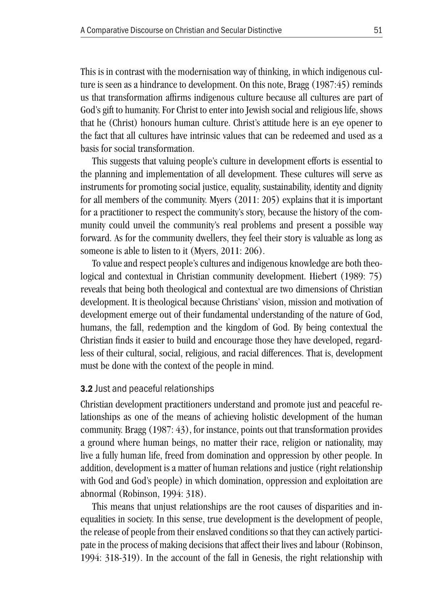This is in contrast with the modernisation way of thinking, in which indigenous culture is seen as a hindrance to development. On this note, Bragg (1987:45) reminds us that transformation affirms indigenous culture because all cultures are part of God's gift to humanity. For Christ to enter into Jewish social and religious life, shows that he (Christ) honours human culture. Christ's attitude here is an eye opener to the fact that all cultures have intrinsic values that can be redeemed and used as a basis for social transformation.

This suggests that valuing people's culture in development efforts is essential to the planning and implementation of all development. These cultures will serve as instruments for promoting social justice, equality, sustainability, identity and dignity for all members of the community. Myers (2011: 205) explains that it is important for a practitioner to respect the community's story, because the history of the community could unveil the community's real problems and present a possible way forward. As for the community dwellers, they feel their story is valuable as long as someone is able to listen to it (Myers, 2011: 206).

To value and respect people's cultures and indigenous knowledge are both theological and contextual in Christian community development. Hiebert (1989: 75) reveals that being both theological and contextual are two dimensions of Christian development. It is theological because Christians' vision, mission and motivation of development emerge out of their fundamental understanding of the nature of God, humans, the fall, redemption and the kingdom of God. By being contextual the Christian finds it easier to build and encourage those they have developed, regardless of their cultural, social, religious, and racial differences. That is, development must be done with the context of the people in mind.

#### 3.2 Just and peaceful relationships

Christian development practitioners understand and promote just and peaceful relationships as one of the means of achieving holistic development of the human community. Bragg (1987: 43), for instance, points out that transformation provides a ground where human beings, no matter their race, religion or nationality, may live a fully human life, freed from domination and oppression by other people. In addition, development is a matter of human relations and justice (right relationship with God and God's people) in which domination, oppression and exploitation are abnormal (Robinson, 1994: 318).

This means that unjust relationships are the root causes of disparities and inequalities in society. In this sense, true development is the development of people, the release of people from their enslaved conditions so that they can actively participate in the process of making decisions that affect their lives and labour (Robinson, 1994: 318-319). In the account of the fall in Genesis, the right relationship with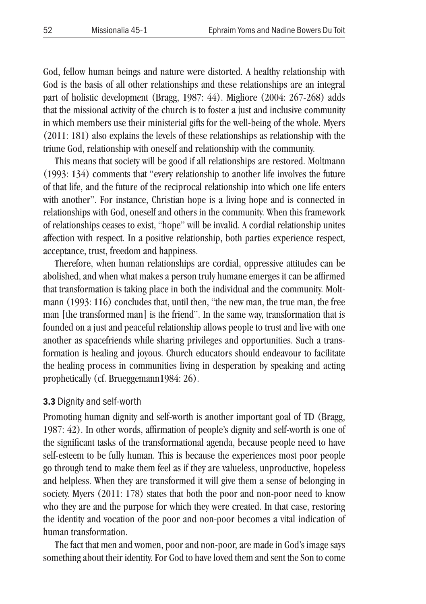God, fellow human beings and nature were distorted. A healthy relationship with God is the basis of all other relationships and these relationships are an integral part of holistic development (Bragg, 1987: 44). Migliore (2004: 267-268) adds that the missional activity of the church is to foster a just and inclusive community in which members use their ministerial gifts for the well-being of the whole. Myers (2011: 181) also explains the levels of these relationships as relationship with the triune God, relationship with oneself and relationship with the community.

This means that society will be good if all relationships are restored. Moltmann (1993: 134) comments that "every relationship to another life involves the future of that life, and the future of the reciprocal relationship into which one life enters with another". For instance, Christian hope is a living hope and is connected in relationships with God, oneself and others in the community. When this framework of relationships ceases to exist, "hope" will be invalid. A cordial relationship unites affection with respect. In a positive relationship, both parties experience respect, acceptance, trust, freedom and happiness.

Therefore, when human relationships are cordial, oppressive attitudes can be abolished, and when what makes a person truly humane emerges it can be affirmed that transformation is taking place in both the individual and the community. Moltmann (1993: 116) concludes that, until then, "the new man, the true man, the free man [the transformed man] is the friend". In the same way, transformation that is founded on a just and peaceful relationship allows people to trust and live with one another as spacefriends while sharing privileges and opportunities. Such a transformation is healing and joyous. Church educators should endeavour to facilitate the healing process in communities living in desperation by speaking and acting prophetically (cf. Brueggemann1984: 26).

#### 3.3 Dignity and self-worth

Promoting human dignity and self-worth is another important goal of TD (Bragg, 1987: 42). In other words, affirmation of people's dignity and self-worth is one of the significant tasks of the transformational agenda, because people need to have self-esteem to be fully human. This is because the experiences most poor people go through tend to make them feel as if they are valueless, unproductive, hopeless and helpless. When they are transformed it will give them a sense of belonging in society. Myers (2011: 178) states that both the poor and non-poor need to know who they are and the purpose for which they were created. In that case, restoring the identity and vocation of the poor and non-poor becomes a vital indication of human transformation.

The fact that men and women, poor and non-poor, are made in God's image says something about their identity. For God to have loved them and sent the Son to come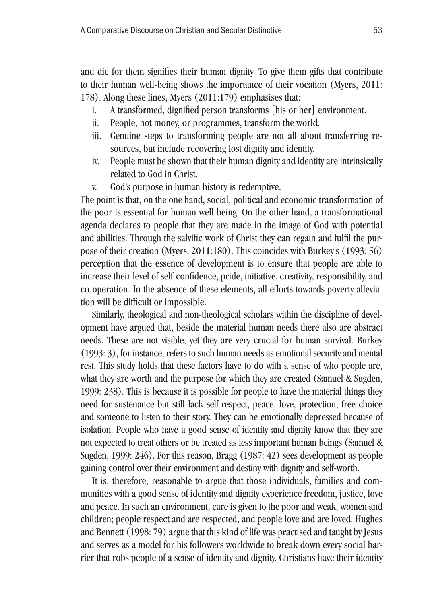and die for them signifies their human dignity. To give them gifts that contribute to their human well-being shows the importance of their vocation (Myers, 2011: 178). Along these lines, Myers (2011:179) emphasises that:

- i. A transformed, dignified person transforms [his or her] environment.
- ii. People, not money, or programmes, transform the world.
- iii. Genuine steps to transforming people are not all about transferring resources, but include recovering lost dignity and identity.
- iv. People must be shown that their human dignity and identity are intrinsically related to God in Christ.
- v. God's purpose in human history is redemptive.

The point is that, on the one hand, social, political and economic transformation of the poor is essential for human well-being. On the other hand, a transformational agenda declares to people that they are made in the image of God with potential and abilities. Through the salvific work of Christ they can regain and fulfil the purpose of their creation (Myers, 2011:180). This coincides with Burkey's (1993: 56) perception that the essence of development is to ensure that people are able to increase their level of self-confidence, pride, initiative, creativity, responsibility, and co-operation. In the absence of these elements, all efforts towards poverty alleviation will be difficult or impossible.

Similarly, theological and non-theological scholars within the discipline of development have argued that, beside the material human needs there also are abstract needs. These are not visible, yet they are very crucial for human survival. Burkey (1993: 3), for instance, refers to such human needs as emotional security and mental rest. This study holds that these factors have to do with a sense of who people are, what they are worth and the purpose for which they are created (Samuel & Sugden, 1999: 238). This is because it is possible for people to have the material things they need for sustenance but still lack self-respect, peace, love, protection, free choice and someone to listen to their story. They can be emotionally depressed because of isolation. People who have a good sense of identity and dignity know that they are not expected to treat others or be treated as less important human beings (Samuel & Sugden, 1999: 246). For this reason, Bragg (1987: 42) sees development as people gaining control over their environment and destiny with dignity and self-worth.

It is, therefore, reasonable to argue that those individuals, families and communities with a good sense of identity and dignity experience freedom, justice, love and peace. In such an environment, care is given to the poor and weak, women and children; people respect and are respected, and people love and are loved. Hughes and Bennett (1998: 79) argue that this kind of life was practised and taught by Jesus and serves as a model for his followers worldwide to break down every social barrier that robs people of a sense of identity and dignity. Christians have their identity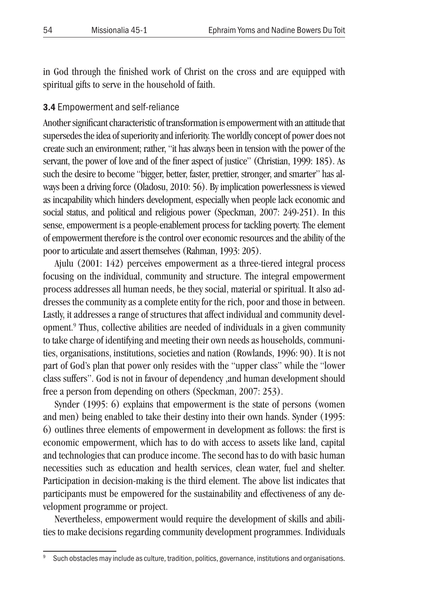in God through the finished work of Christ on the cross and are equipped with spiritual gifts to serve in the household of faith.

#### 3.4 Empowerment and self-reliance

Another significant characteristic of transformation is empowerment with an attitude that supersedes the idea of superiority and inferiority. The worldly concept of power does not create such an environment; rather, "it has always been in tension with the power of the servant, the power of love and of the finer aspect of justice" (Christian, 1999: 185). As such the desire to become "bigger, better, faster, prettier, stronger, and smarter" has always been a driving force (Oladosu, 2010: 56). By implication powerlessness is viewed as incapability which hinders development, especially when people lack economic and social status, and political and religious power (Speckman, 2007: 249-251). In this sense, empowerment is a people-enablement process for tackling poverty. The element of empowerment therefore is the control over economic resources and the ability of the poor to articulate and assert themselves (Rahman, 1993: 205).

Ajulu (2001: 142) perceives empowerment as a three-tiered integral process focusing on the individual, community and structure. The integral empowerment process addresses all human needs, be they social, material or spiritual. It also addresses the community as a complete entity for the rich, poor and those in between. Lastly, it addresses a range of structures that affect individual and community development.9 Thus, collective abilities are needed of individuals in a given community to take charge of identifying and meeting their own needs as households, communities, organisations, institutions, societies and nation (Rowlands, 1996: 90). It is not part of God's plan that power only resides with the "upper class" while the "lower class suffers". God is not in favour of dependency ,and human development should free a person from depending on others (Speckman, 2007: 253).

Synder (1995: 6) explains that empowerment is the state of persons (women and men) being enabled to take their destiny into their own hands. Synder (1995: 6) outlines three elements of empowerment in development as follows: the first is economic empowerment, which has to do with access to assets like land, capital and technologies that can produce income. The second has to do with basic human necessities such as education and health services, clean water, fuel and shelter. Participation in decision-making is the third element. The above list indicates that participants must be empowered for the sustainability and effectiveness of any development programme or project.

Nevertheless, empowerment would require the development of skills and abilities to make decisions regarding community development programmes. Individuals

<sup>&</sup>lt;sup>9</sup> Such obstacles may include as culture, tradition, politics, governance, institutions and organisations.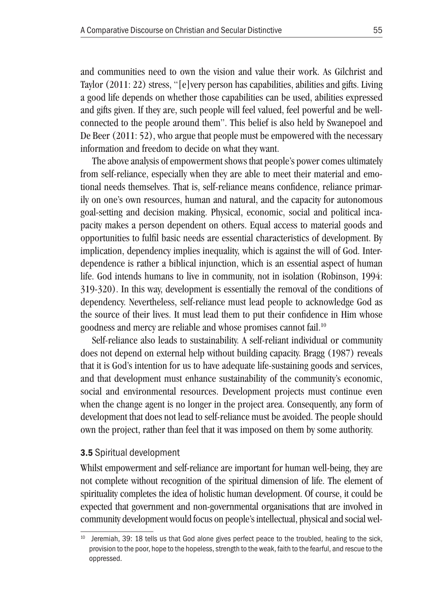and communities need to own the vision and value their work. As Gilchrist and Taylor (2011: 22) stress, "[e]very person has capabilities, abilities and gifts. Living a good life depends on whether those capabilities can be used, abilities expressed and gifts given. If they are, such people will feel valued, feel powerful and be wellconnected to the people around them". This belief is also held by Swanepoel and De Beer (2011: 52), who argue that people must be empowered with the necessary information and freedom to decide on what they want.

The above analysis of empowerment shows that people's power comes ultimately from self-reliance, especially when they are able to meet their material and emotional needs themselves. That is, self-reliance means confidence, reliance primarily on one's own resources, human and natural, and the capacity for autonomous goal-setting and decision making. Physical, economic, social and political incapacity makes a person dependent on others. Equal access to material goods and opportunities to fulfil basic needs are essential characteristics of development. By implication, dependency implies inequality, which is against the will of God. Interdependence is rather a biblical injunction, which is an essential aspect of human life. God intends humans to live in community, not in isolation (Robinson, 1994: 319-320). In this way, development is essentially the removal of the conditions of dependency. Nevertheless, self-reliance must lead people to acknowledge God as the source of their lives. It must lead them to put their confidence in Him whose goodness and mercy are reliable and whose promises cannot fail.10

Self-reliance also leads to sustainability. A self-reliant individual or community does not depend on external help without building capacity. Bragg (1987) reveals that it is God's intention for us to have adequate life-sustaining goods and services, and that development must enhance sustainability of the community's economic, social and environmental resources. Development projects must continue even when the change agent is no longer in the project area. Consequently, any form of development that does not lead to self-reliance must be avoided. The people should own the project, rather than feel that it was imposed on them by some authority.

#### 3.5 Spiritual development

Whilst empowerment and self-reliance are important for human well-being, they are not complete without recognition of the spiritual dimension of life. The element of spirituality completes the idea of holistic human development. Of course, it could be expected that government and non-governmental organisations that are involved in community development would focus on people's intellectual, physical and social wel-

 $10$  Jeremiah, 39: 18 tells us that God alone gives perfect peace to the troubled, healing to the sick, provision to the poor, hope to the hopeless, strength to the weak, faith to the fearful, and rescue to the oppressed.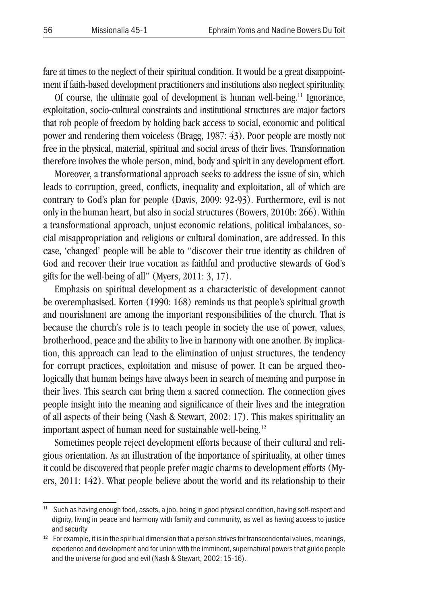fare at times to the neglect of their spiritual condition. It would be a great disappointment if faith-based development practitioners and institutions also neglect spirituality.

Of course, the ultimate goal of development is human well-being.11 Ignorance, exploitation, socio-cultural constraints and institutional structures are major factors that rob people of freedom by holding back access to social, economic and political power and rendering them voiceless (Bragg, 1987: 43). Poor people are mostly not free in the physical, material, spiritual and social areas of their lives. Transformation therefore involves the whole person, mind, body and spirit in any development effort.

Moreover, a transformational approach seeks to address the issue of sin, which leads to corruption, greed, conflicts, inequality and exploitation, all of which are contrary to God's plan for people (Davis, 2009: 92-93). Furthermore, evil is not only in the human heart, but also in social structures (Bowers, 2010b: 266). Within a transformational approach, unjust economic relations, political imbalances, social misappropriation and religious or cultural domination, are addressed. In this case, 'changed' people will be able to "discover their true identity as children of God and recover their true vocation as faithful and productive stewards of God's gifts for the well-being of all" (Myers, 2011: 3, 17).

Emphasis on spiritual development as a characteristic of development cannot be overemphasised. Korten (1990: 168) reminds us that people's spiritual growth and nourishment are among the important responsibilities of the church. That is because the church's role is to teach people in society the use of power, values, brotherhood, peace and the ability to live in harmony with one another. By implication, this approach can lead to the elimination of unjust structures, the tendency for corrupt practices, exploitation and misuse of power. It can be argued theologically that human beings have always been in search of meaning and purpose in their lives. This search can bring them a sacred connection. The connection gives people insight into the meaning and significance of their lives and the integration of all aspects of their being (Nash & Stewart, 2002: 17). This makes spirituality an important aspect of human need for sustainable well-being.<sup>12</sup>

Sometimes people reject development efforts because of their cultural and religious orientation. As an illustration of the importance of spirituality, at other times it could be discovered that people prefer magic charms to development efforts (Myers, 2011: 142). What people believe about the world and its relationship to their

<sup>&</sup>lt;sup>11</sup> Such as having enough food, assets, a job, being in good physical condition, having self-respect and dignity, living in peace and harmony with family and community, as well as having access to justice and security

 $12$  For example, it is in the spiritual dimension that a person strives for transcendental values, meanings, experience and development and for union with the imminent, supernatural powers that guide people and the universe for good and evil (Nash & Stewart, 2002: 15-16).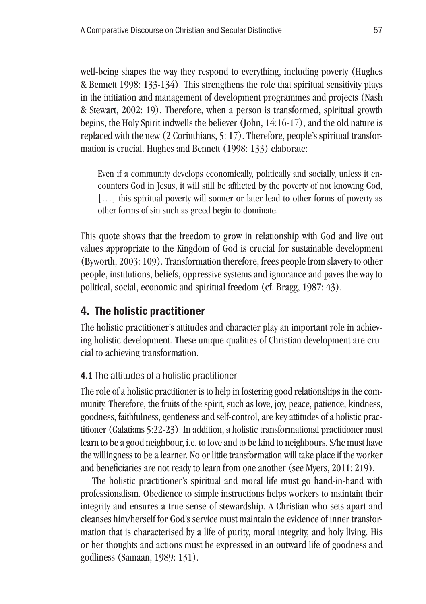well-being shapes the way they respond to everything, including poverty (Hughes & Bennett 1998: 133-134). This strengthens the role that spiritual sensitivity plays in the initiation and management of development programmes and projects (Nash & Stewart, 2002: 19). Therefore, when a person is transformed, spiritual growth begins, the Holy Spirit indwells the believer (John, 14:16-17), and the old nature is replaced with the new (2 Corinthians, 5: 17). Therefore, people's spiritual transformation is crucial. Hughes and Bennett (1998: 133) elaborate:

Even if a community develops economically, politically and socially, unless it encounters God in Jesus, it will still be afflicted by the poverty of not knowing God, [...] this spiritual poverty will sooner or later lead to other forms of poverty as other forms of sin such as greed begin to dominate.

This quote shows that the freedom to grow in relationship with God and live out values appropriate to the Kingdom of God is crucial for sustainable development (Byworth, 2003: 109). Transformation therefore, frees people from slavery to other people, institutions, beliefs, oppressive systems and ignorance and paves the way to political, social, economic and spiritual freedom (cf. Bragg, 1987: 43).

## 4. The holistic practitioner

The holistic practitioner's attitudes and character play an important role in achieving holistic development. These unique qualities of Christian development are crucial to achieving transformation.

### 4.1 The attitudes of a holistic practitioner

The role of a holistic practitioner is to help in fostering good relationships in the community. Therefore, the fruits of the spirit, such as love, joy, peace, patience, kindness, goodness, faithfulness, gentleness and self-control, are key attitudes of a holistic practitioner (Galatians 5:22-23). In addition, a holistic transformational practitioner must learn to be a good neighbour, i.e. to love and to be kind to neighbours. S/he must have the willingness to be a learner. No or little transformation will take place if the worker and beneficiaries are not ready to learn from one another (see Myers, 2011: 219).

The holistic practitioner's spiritual and moral life must go hand-in-hand with professionalism. Obedience to simple instructions helps workers to maintain their integrity and ensures a true sense of stewardship. A Christian who sets apart and cleanses him/herself for God's service must maintain the evidence of inner transformation that is characterised by a life of purity, moral integrity, and holy living. His or her thoughts and actions must be expressed in an outward life of goodness and godliness (Samaan, 1989: 131).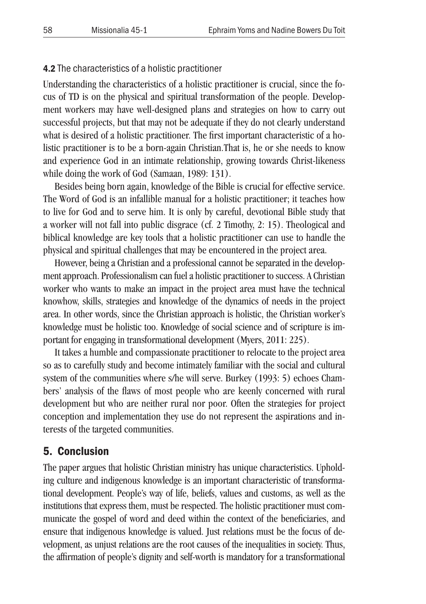#### 4.2 The characteristics of a holistic practitioner

Understanding the characteristics of a holistic practitioner is crucial, since the focus of TD is on the physical and spiritual transformation of the people. Development workers may have well-designed plans and strategies on how to carry out successful projects, but that may not be adequate if they do not clearly understand what is desired of a holistic practitioner. The first important characteristic of a holistic practitioner is to be a born-again Christian.That is, he or she needs to know and experience God in an intimate relationship, growing towards Christ-likeness while doing the work of God (Samaan, 1989: 131).

Besides being born again, knowledge of the Bible is crucial for effective service. The Word of God is an infallible manual for a holistic practitioner; it teaches how to live for God and to serve him. It is only by careful, devotional Bible study that a worker will not fall into public disgrace (cf. 2 Timothy, 2: 15). Theological and biblical knowledge are key tools that a holistic practitioner can use to handle the physical and spiritual challenges that may be encountered in the project area.

However, being a Christian and a professional cannot be separated in the development approach. Professionalism can fuel a holistic practitioner to success. A Christian worker who wants to make an impact in the project area must have the technical knowhow, skills, strategies and knowledge of the dynamics of needs in the project area. In other words, since the Christian approach is holistic, the Christian worker's knowledge must be holistic too. Knowledge of social science and of scripture is important for engaging in transformational development (Myers, 2011: 225).

It takes a humble and compassionate practitioner to relocate to the project area so as to carefully study and become intimately familiar with the social and cultural system of the communities where s/he will serve. Burkey (1993: 5) echoes Chambers' analysis of the flaws of most people who are keenly concerned with rural development but who are neither rural nor poor. Often the strategies for project conception and implementation they use do not represent the aspirations and interests of the targeted communities.

### 5. Conclusion

The paper argues that holistic Christian ministry has unique characteristics. Upholding culture and indigenous knowledge is an important characteristic of transformational development. People's way of life, beliefs, values and customs, as well as the institutions that express them, must be respected. The holistic practitioner must communicate the gospel of word and deed within the context of the beneficiaries, and ensure that indigenous knowledge is valued. Just relations must be the focus of development, as unjust relations are the root causes of the inequalities in society. Thus, the affirmation of people's dignity and self-worth is mandatory for a transformational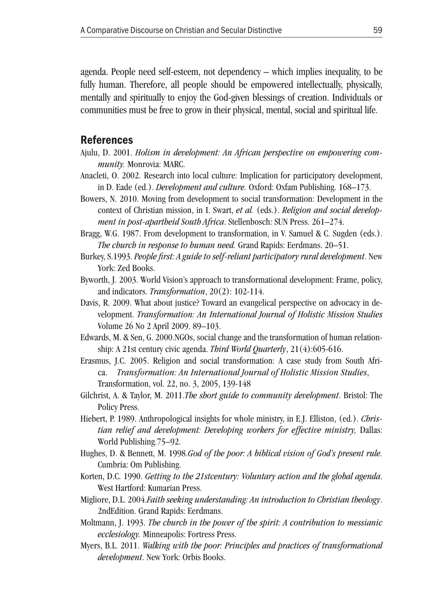agenda. People need self-esteem, not dependency – which implies inequality, to be fully human. Therefore, all people should be empowered intellectually, physically, mentally and spiritually to enjoy the God-given blessings of creation. Individuals or communities must be free to grow in their physical, mental, social and spiritual life.

#### References

- Ajulu, D. 2001. *Holism in development: An African perspective on empowering community.* Monrovia: MARC.
- Anacleti, O. 2002. Research into local culture: Implication for participatory development, in D. Eade (ed.). *Development and culture.* Oxford: Oxfam Publishing. 168–173.
- Bowers, N. 2010. Moving from development to social transformation: Development in the context of Christian mission, in I. Swart, *et al.* (eds.). *Religion and social development in post-apartheid South Africa*. Stellenbosch: SUN Press. 261–274.

Bragg, W.G. 1987. From development to transformation, in V. Samuel & C. Sugden (eds.). *The church in response to human need.* Grand Rapids: Eerdmans. 20–51.

- Burkey, S.1993. *People first: A guide to self-reliant participatory rural development*. New York: Zed Books.
- Byworth, J. 2003. World Vision's approach to transformational development: Frame, policy, and indicators. *Transformation*, 20(2): 102-114.
- Davis, R. 2009. What about justice? Toward an evangelical perspective on advocacy in development. *Transformation: An International Journal of Holistic Mission Studies*  Volume 26 No 2 April 2009. 89–103.
- Edwards, M. & Sen, G. 2000.NGOs, social change and the transformation of human relationship: A 21st century civic agenda. *Third World Quarterly*, 21(4):605-616.
- Erasmus, J.C. 2005. Religion and social transformation: A case study from South Africa. *Transformation: An International Journal of Holistic Mission Studies*, Transformation, vol. 22, no. 3, 2005, 139-148
- Gilchrist, A. & Taylor, M. 2011.*The short guide to community development*. Bristol: The Policy Press.
- Hiebert, P. 1989. Anthropological insights for whole ministry, in E.J. Elliston, (ed.). *Christian relief and development: Developing workers for effective ministry,* Dallas: World Publishing.75–92.
- Hughes, D. & Bennett, M. 1998.*God of the poor: A biblical vision of God's present rule.* Cumbria: Om Publishing.
- Korten, D.C. 1990. *Getting to the 21stcentury: Voluntary action and the global agenda*. West Hartford: Kumarian Press.
- Migliore, D.L. 2004.*Faith seeking understanding: An introduction to Christian theology*. 2ndEdition. Grand Rapids: Eerdmans.
- Moltmann, J. 1993. *The church in the power of the spirit: A contribution to messianic ecclesiology.* Minneapolis: Fortress Press.
- Myers, B.L. 2011. *Walking with the poor: Principles and practices of transformational development*. New York: Orbis Books.